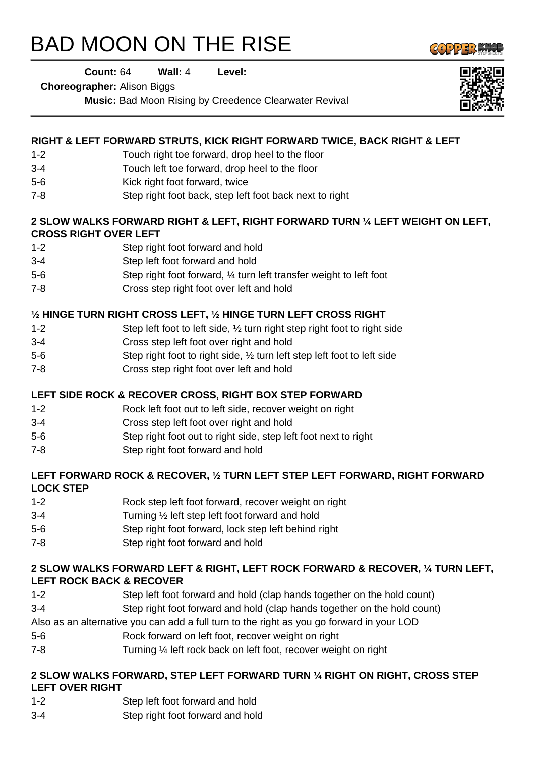# BAD MOON ON THE RISE



**Count:** 64 **Wall:** 4 **Level:** 

**Choreographer:** Alison Biggs

**Music:** Bad Moon Rising by Creedence Clearwater Revival

### **RIGHT & LEFT FORWARD STRUTS, KICK RIGHT FORWARD TWICE, BACK RIGHT & LEFT**

- 1-2 Touch right toe forward, drop heel to the floor
- 3-4 Touch left toe forward, drop heel to the floor
- 5-6 Kick right foot forward, twice
- 7-8 Step right foot back, step left foot back next to right

#### **2 SLOW WALKS FORWARD RIGHT & LEFT, RIGHT FORWARD TURN ¼ LEFT WEIGHT ON LEFT, CROSS RIGHT OVER LEFT**

- 1-2 Step right foot forward and hold
- 3-4 Step left foot forward and hold
- 5-6 Step right foot forward, ¼ turn left transfer weight to left foot
- 7-8 Cross step right foot over left and hold

# **½ HINGE TURN RIGHT CROSS LEFT, ½ HINGE TURN LEFT CROSS RIGHT**

- 1-2 Step left foot to left side, ½ turn right step right foot to right side
- 3-4 Cross step left foot over right and hold
- 5-6 Step right foot to right side, ½ turn left step left foot to left side
- 7-8 Cross step right foot over left and hold

#### **LEFT SIDE ROCK & RECOVER CROSS, RIGHT BOX STEP FORWARD**

- 1-2 Rock left foot out to left side, recover weight on right
- 3-4 Cross step left foot over right and hold
- 5-6 Step right foot out to right side, step left foot next to right
- 7-8 Step right foot forward and hold

#### **LEFT FORWARD ROCK & RECOVER, ½ TURN LEFT STEP LEFT FORWARD, RIGHT FORWARD LOCK STEP**

- 1-2 Rock step left foot forward, recover weight on right
- 3-4 Turning ½ left step left foot forward and hold
- 5-6 Step right foot forward, lock step left behind right
- 7-8 Step right foot forward and hold

#### **2 SLOW WALKS FORWARD LEFT & RIGHT, LEFT ROCK FORWARD & RECOVER, ¼ TURN LEFT, LEFT ROCK BACK & RECOVER**

- 1-2 Step left foot forward and hold (clap hands together on the hold count)
- 3-4 Step right foot forward and hold (clap hands together on the hold count)

Also as an alternative you can add a full turn to the right as you go forward in your LOD

- 5-6 Rock forward on left foot, recover weight on right
- 7-8 Turning ¼ left rock back on left foot, recover weight on right

#### **2 SLOW WALKS FORWARD, STEP LEFT FORWARD TURN ¼ RIGHT ON RIGHT, CROSS STEP LEFT OVER RIGHT**

- 1-2 Step left foot forward and hold
- 3-4 Step right foot forward and hold